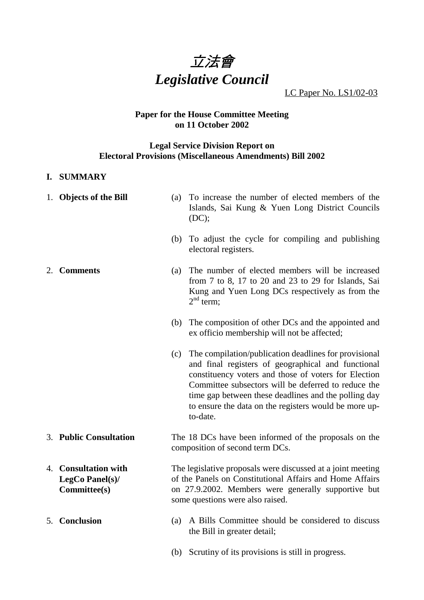

LC Paper No. LS1/02-03

#### **Paper for the House Committee Meeting on 11 October 2002**

#### **Legal Service Division Report on Electoral Provisions (Miscellaneous Amendments) Bill 2002**

#### **I. SUMMARY**

- 1. **Objects of the Bill** (a) To increase the number of elected members of the Islands, Sai Kung & Yuen Long District Councils (DC);
	- (b) To adjust the cycle for compiling and publishing electoral registers.
- 2. **Comments** (a) The number of elected members will be increased from 7 to 8, 17 to 20 and 23 to 29 for Islands, Sai Kung and Yuen Long DCs respectively as from the  $2<sup>nd</sup>$  term:
	- (b) The composition of other DCs and the appointed and ex officio membership will not be affected;
	- (c) The compilation/publication deadlines for provisional and final registers of geographical and functional constituency voters and those of voters for Election Committee subsectors will be deferred to reduce the time gap between these deadlines and the polling day to ensure the data on the registers would be more upto-date.
- 3. **Public Consultation** The 18 DCs have been informed of the proposals on the composition of second term DCs.
- 4. **Consultation with LegCo Panel(s)/ Committee(s)** The legislative proposals were discussed at a joint meeting of the Panels on Constitutional Affairs and Home Affairs on 27.9.2002. Members were generally supportive but some questions were also raised.
- 5. **Conclusion** (a) A Bills Committee should be considered to discuss the Bill in greater detail;
	- (b) Scrutiny of its provisions is still in progress.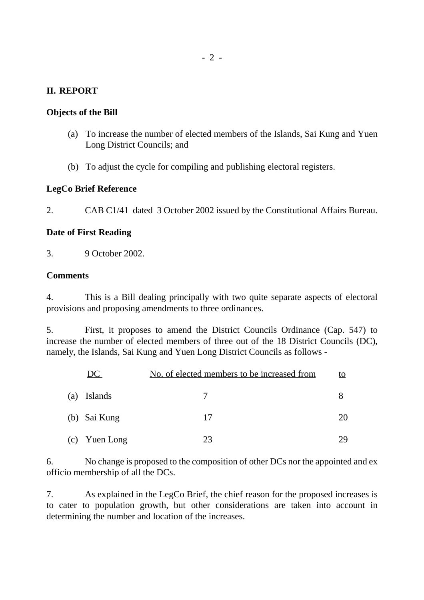# **II. REPORT**

# **Objects of the Bill**

- (a) To increase the number of elected members of the Islands, Sai Kung and Yuen Long District Councils; and
- (b) To adjust the cycle for compiling and publishing electoral registers.

## **LegCo Brief Reference**

2. CAB C1/41 dated 3 October 2002 issued by the Constitutional Affairs Bureau.

## **Date of First Reading**

3. 9 October 2002.

## **Comments**

4. This is a Bill dealing principally with two quite separate aspects of electoral provisions and proposing amendments to three ordinances.

5. First, it proposes to amend the District Councils Ordinance (Cap. 547) to increase the number of elected members of three out of the 18 District Councils (DC), namely, the Islands, Sai Kung and Yuen Long District Councils as follows -

| DC.           | No. of elected members to be increased from |    |  |
|---------------|---------------------------------------------|----|--|
| (a) Islands   |                                             |    |  |
| (b) Sai Kung  | 17                                          | 20 |  |
| (c) Yuen Long | 23                                          | 79 |  |

6. No change is proposed to the composition of other DCs nor the appointed and ex officio membership of all the DCs.

7. As explained in the LegCo Brief, the chief reason for the proposed increases is to cater to population growth, but other considerations are taken into account in determining the number and location of the increases.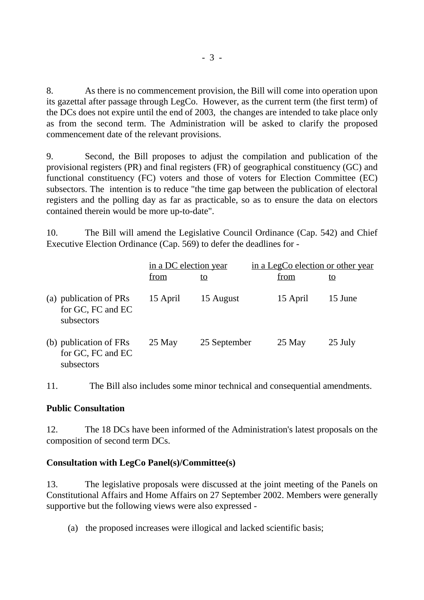8. As there is no commencement provision, the Bill will come into operation upon its gazettal after passage through LegCo. However, as the current term (the first term) of the DCs does not expire until the end of 2003, the changes are intended to take place only as from the second term. The Administration will be asked to clarify the proposed commencement date of the relevant provisions.

9. Second, the Bill proposes to adjust the compilation and publication of the provisional registers (PR) and final registers (FR) of geographical constituency (GC) and functional constituency (FC) voters and those of voters for Election Committee (EC) subsectors. The intention is to reduce "the time gap between the publication of electoral registers and the polling day as far as practicable, so as to ensure the data on electors contained therein would be more up-to-date".

10. The Bill will amend the Legislative Council Ordinance (Cap. 542) and Chief Executive Election Ordinance (Cap. 569) to defer the deadlines for -

|                                                           | in a DC election year |              | in a LegCo election or other year |           |
|-----------------------------------------------------------|-----------------------|--------------|-----------------------------------|-----------|
|                                                           | from                  | <u>to</u>    | from                              | <u>to</u> |
| (a) publication of PRs<br>for GC, FC and EC<br>subsectors | 15 April              | 15 August    | 15 April                          | 15 June   |
| (b) publication of FRs<br>for GC, FC and EC<br>subsectors | 25 May                | 25 September | $25$ May                          | 25 July   |

11. The Bill also includes some minor technical and consequential amendments.

### **Public Consultation**

12. The 18 DCs have been informed of the Administration's latest proposals on the composition of second term DCs.

### **Consultation with LegCo Panel(s)/Committee(s)**

13. The legislative proposals were discussed at the joint meeting of the Panels on Constitutional Affairs and Home Affairs on 27 September 2002. Members were generally supportive but the following views were also expressed -

(a) the proposed increases were illogical and lacked scientific basis;